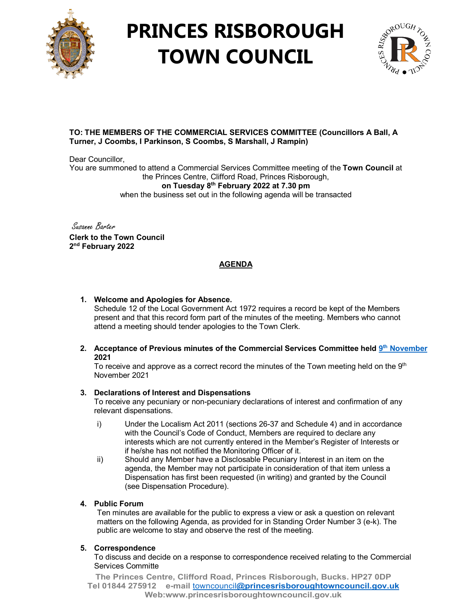

# **PRINCES RISBOROUGH TOWN COUNCIL**



## **TO: THE MEMBERS OF THE COMMERCIAL SERVICES COMMITTEE (Councillors A Ball, A Turner, J Coombs, I Parkinson, S Coombs, S Marshall, J Rampin)**

Dear Councillor. You are summoned to attend a Commercial Services Committee meeting of the **Town Council** at the Princes Centre, Clifford Road, Princes Risborough, **on Tuesday 8th February 2022 at 7.30 pm** when the business set out in the following agenda will be transacted

Susanne Barter **Clerk to the Town Council 2nd February 2022**

# **AGENDA**

## **1. Welcome and Apologies for Absence.**

Schedule 12 of the Local Government Act 1972 requires a record be kept of the Members present and that this record form part of the minutes of the meeting. Members who cannot attend a meeting should tender apologies to the Town Clerk.

#### **2. Acceptance of Previous minutes of the Commercial Services Committee held 9th [November](http://www.princesrisboroughtowncouncil.gov.uk/_UserFiles/Files/_Minutes/134143-Nov_9th_21_Commercial_Services_Committee_mins.pdf) 2021**

To receive and approve as a correct record the minutes of the Town meeting held on the  $9<sup>th</sup>$ November 2021

## **3. Declarations of Interest and Dispensations**

To receive any pecuniary or non-pecuniary declarations of interest and confirmation of any relevant dispensations.

- i) Under the Localism Act 2011 (sections 26-37 and Schedule 4) and in accordance with the Council's Code of Conduct, Members are required to declare any interests which are not currently entered in the Member's Register of Interests or if he/she has not notified the Monitoring Officer of it.
- ii) Should any Member have a Disclosable Pecuniary Interest in an item on the agenda, the Member may not participate in consideration of that item unless a Dispensation has first been requested (in writing) and granted by the Council (see Dispensation Procedure).

## **4. Public Forum**

Ten minutes are available for the public to express a view or ask a question on relevant matters on the following Agenda, as provided for in Standing Order Number 3 (e-k). The public are welcome to stay and observe the rest of the meeting.

## **5. Correspondence**

To discuss and decide on a response to correspondence received relating to the Commercial Services Committe

**The Princes Centre, Clifford Road, Princes Risborough, Bucks. HP27 0DP Tel 01844 275912 e-mail** towncouncil**[@princesrisboroughtowncouncil.gov.uk](mailto:towncouncil@princesrisboroughtowncouncil.gov.uk) Web:www.princesrisboroughtowncouncil.gov.uk**